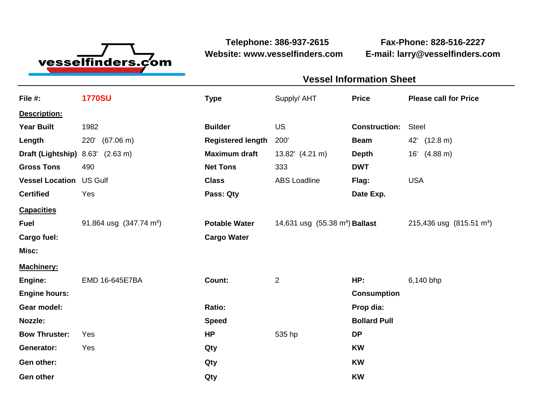

**Website: www.vesselfinders.com E-mail: larry@vesselfinders.com**

**Telephone: 386-937-2615 Fax-Phone: 828-516-2227**

| <b>Vessel Information Sheet</b>                                                                         |  |
|---------------------------------------------------------------------------------------------------------|--|
| Supply/ AHT Price Please call for Price                                                                 |  |
|                                                                                                         |  |
| <b>Construction:</b> Steel                                                                              |  |
| Beam 42' (12.8 m)                                                                                       |  |
| <b>Maximum draft</b> $13.82'$ $(4.21 \text{ m})$ <b>Depth</b> $16'$ $(4.88 \text{ m})$                  |  |
| ABS Loadline Flag: USA                                                                                  |  |
| Date Exp.                                                                                               |  |
|                                                                                                         |  |
| <b>Potable Water</b> 14,631 usg $(55.38 \text{ m}^3)$ <b>Ballast</b> 215,436 usg $(815.51 \text{ m}^3)$ |  |
|                                                                                                         |  |
|                                                                                                         |  |
|                                                                                                         |  |
| HP: 6,140 bhp                                                                                           |  |
| <b>Consumption</b><br>Prop dia:                                                                         |  |
| <b>Bollard Pull</b>                                                                                     |  |
|                                                                                                         |  |
|                                                                                                         |  |
|                                                                                                         |  |
|                                                                                                         |  |